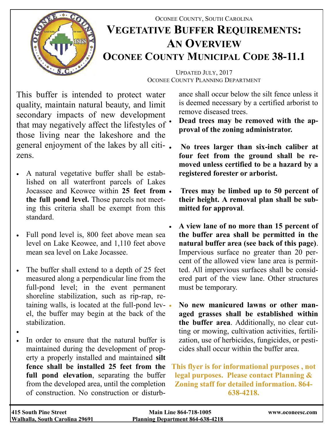

## OCONEE COUNTY, SOUTH CAROLINA **VEGETATIVE BUFFER REQUIREMENTS: AN OVERVIEW OCONEE COUNTY MUNICIPAL CODE 38-11.1**

UPDATED JULY, 2017 OCONEE COUNTY PLANNING DEPARTMENT

This buffer is intended to protect water quality, maintain natural beauty, and limit secondary impacts of new development that may negatively affect the lifestyles of those living near the lakeshore and the general enjoyment of the lakes by all citizens.

- A natural vegetative buffer shall be established on all waterfront parcels of Lakes Jocassee and Keowee within **25 feet from the full pond level.** Those parcels not meeting this criteria shall be exempt from this standard.
- Full pond level is, 800 feet above mean sea level on Lake Keowee, and 1,110 feet above mean sea level on Lake Jocassee.
- The buffer shall extend to a depth of 25 feet measured along a perpendicular line from the full-pond level; in the event permanent shoreline stabilization, such as rip-rap, retaining walls, is located at the full-pond lev- . el, the buffer may begin at the back of the stabilization.
- $\bullet$
- In order to ensure that the natural buffer is maintained during the development of property a properly installed and maintained **silt fence shall be installed 25 feet from the full pond elevation**, separating the buffer from the developed area, until the completion of construction. No construction or disturb-

ance shall occur below the silt fence unless it is deemed necessary by a certified arborist to remove diseased trees.

- **Dead trees may be removed with the approval of the zoning administrator.**
- **No trees larger than six-inch caliber at four feet from the ground shall be removed unless certified to be a hazard by a registered forester or arborist.**
- **Trees may be limbed up to 50 percent of their height. A removal plan shall be submitted for approval**.
- **A view lane of no more than 15 percent of the buffer area shall be permitted in the natural buffer area (see back of this page)**. Impervious surface no greater than 20 percent of the allowed view lane area is permitted. All impervious surfaces shall be considered part of the view lane. Other structures must be temporary.
	- **No new manicured lawns or other managed grasses shall be established within the buffer area**. Additionally, no clear cutting or mowing, cultivation activities, fertilization, use of herbicides, fungicides, or pesticides shall occur within the buffer area.

**This flyer is for informational purposes , not legal purposes. Please contact Planning & Zoning staff for detailed information. 864- 638-4218.**

| 415 South Pine Street          | <b>Main Line 864-718-1005</b>           | www.oconeesc.com |
|--------------------------------|-----------------------------------------|------------------|
| Walhalla, South Carolina 29691 | <b>Planning Department 864-638-4218</b> |                  |